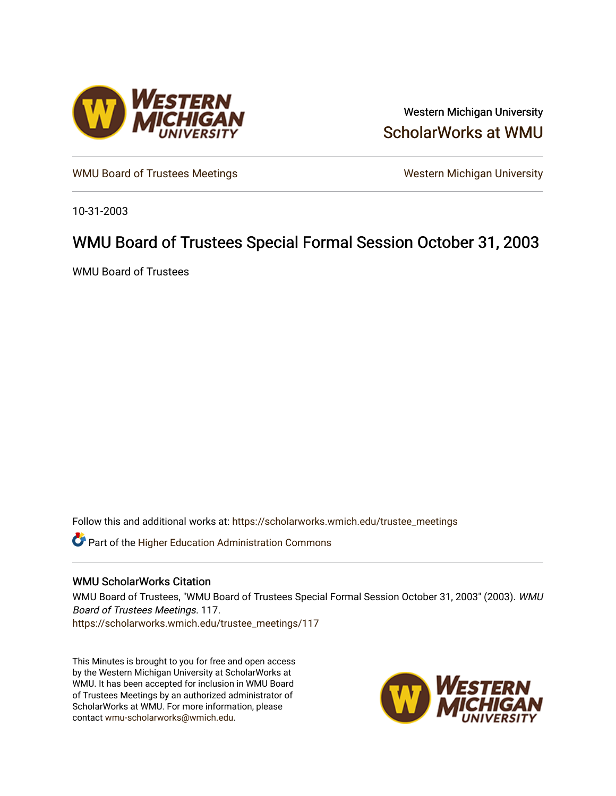

Western Michigan University [ScholarWorks at WMU](https://scholarworks.wmich.edu/) 

[WMU Board of Trustees Meetings](https://scholarworks.wmich.edu/trustee_meetings) Western Michigan University

10-31-2003

## WMU Board of Trustees Special Formal Session October 31, 2003

WMU Board of Trustees

Follow this and additional works at: [https://scholarworks.wmich.edu/trustee\\_meetings](https://scholarworks.wmich.edu/trustee_meetings?utm_source=scholarworks.wmich.edu%2Ftrustee_meetings%2F117&utm_medium=PDF&utm_campaign=PDFCoverPages)

**C** Part of the Higher Education Administration Commons

## WMU ScholarWorks Citation

WMU Board of Trustees, "WMU Board of Trustees Special Formal Session October 31, 2003" (2003). WMU Board of Trustees Meetings. 117. [https://scholarworks.wmich.edu/trustee\\_meetings/117](https://scholarworks.wmich.edu/trustee_meetings/117?utm_source=scholarworks.wmich.edu%2Ftrustee_meetings%2F117&utm_medium=PDF&utm_campaign=PDFCoverPages)

This Minutes is brought to you for free and open access by the Western Michigan University at ScholarWorks at WMU. It has been accepted for inclusion in WMU Board of Trustees Meetings by an authorized administrator of ScholarWorks at WMU. For more information, please contact [wmu-scholarworks@wmich.edu](mailto:wmu-scholarworks@wmich.edu).

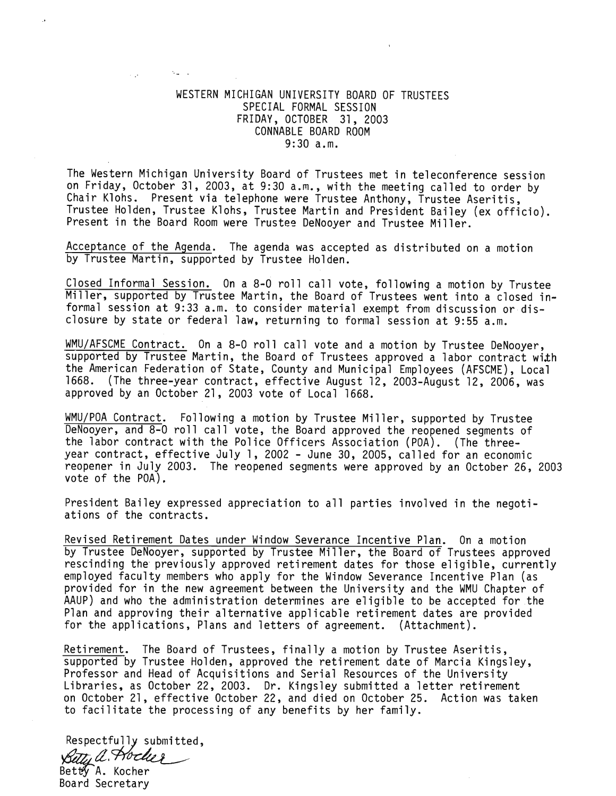## WESTERN MICHIGAN UNIVERSITY BOARD OF TRUSTEES SPECIAL FORMAL SESSION FRIDAY, OCTOBER 31, 2003 CONNABLE BOARD ROOM 9:30 a.m.

 $\mathcal{N}_{\text{max}} = \mathcal{N}$ 

**Sign** 

The Western Michigan University Board of Trustees met in teleconference session on Friday, October 31, 2003, at 9:30 a.m., with the meeting called to order by Chair Klohs. Present via telephone were Trustee Anthony, Trustee Aseritis, Trustee Holden, Trustee Klohs, Trustee Martin and President Bailey (ex officio). Present in the Board Room were Trustee DeNooyer and Trustee Miller.

Acceptance of the Agenda. The agenda was accepted as distributed on a motion by Trustee Martin, supported by Trustee Holden.

Closed Informal Session. On a 8-0 roll call vote, following a motion by Trustee Miller, supported by Trustee Martin, the Board of Trustees went into a closed informal session at 9:33 a.m. to consider material exempt from discussion or dis closure by state or federal law, returning to formal session at 9:55 a.m.

MMU/AFSCME Contract. On a 8-0 roll call vote and a motion by Trustee DeNooyer, supported by Trustee Martin, the Board of Trustees approved a labor contract with the American Federation of State, County and Municipal Employees (AFSCME), Local 1668. (The three-year contract, effective August 12, 2003-August 12, 2006, was approved by an October 21, 2003 vote of Local 1668.

WMU/POA Contract. Following a motion by Trustee Miller, supported by Trustee DeNooyer, and 8-0 roll call vote, the Board approved the reopened segments of the labor contract with the Police Officers Association (POA). (The threeyear contract, effective July 1, 2002 - June 30, 2005, called for an economic reopener in July 2003. The reopened segments were approved by an October 26, 2003 vote of the POA),

President Bailey expressed appreciation to all parties involved in the negoti ations of the contracts.

Revised Retirement Dates under Window Severance Incentive Plan. On a motion by Trustee DeNooyer, supported by Trustee Miller, the Board of Trustees approved rescinding the previously approved retirement dates for those eligible, currently employed faculty members who apply for the Window Severance Incentive Plan (as provided for in the new agreement between the University and the WMU Chapter of AAUP) and who the administration determines are eligible to be accepted for the Plan and approving their alternative applicable retirement dates are provided for the applications, Plans and letters of agreement. (Attachment).

Retirement. The Board of Trustees, finally a motion by Trustee Aseritis, supported by Trustee Holden, approved the retirement date of Marcia Kingsley, Professor and Head of Acquisitions and Serial Resources of the University Libraries, as October 22, 2003. Dr. Kingsley submitted a letter retirement on October 21, effective October 22, and died on October 25. Action was taken to facilitate the processing of any benefits by her family.

Respectfully submitted, Betty a Hocker BettyA. Kocher

Board Secretary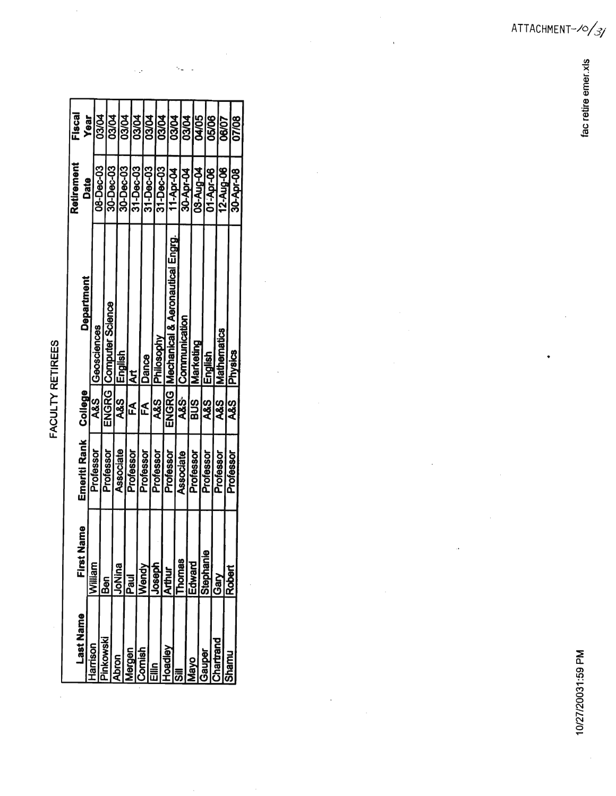FACULTY RETIREES

| Last Name    | lame<br>First 1 | Emeriti Rank | <b>College</b> | Department                       | Retirement | Fiscal       |  |
|--------------|-----------------|--------------|----------------|----------------------------------|------------|--------------|--|
| arnson       | lilam           |              |                |                                  | Date       | Year         |  |
|              |                 | Professor    | ග<br>අ         | Geosciences                      | 08-Dec-03  | <b>03/04</b> |  |
| OWSKI        | Ben             | Professor    |                | ENGRG   Computer Science         | 30-Dec-03  | <b>D3/04</b> |  |
| <b>Scoc</b>  | pulna           | Associate    | 88<br>R        | English                          |            |              |  |
| ueste        | Pau             |              |                |                                  | 30-Dec-03  | <b>D3/04</b> |  |
|              |                 | Professor    | E<br>A         | ä                                | 31-Dec-03  | <b>D3/04</b> |  |
| mist         | yeue\           | Professor    | É              | <b>Dance</b>                     | 31-Dec-03  | <b>D3/04</b> |  |
|              | <b>OSGD</b>     | Professor    | ယ္လ္နီ         | <b>IPhilosophy</b>               | 31-Dec-03  |              |  |
| <b>elpac</b> |                 | Professor    | ENGRG I        |                                  |            | <b>D3/04</b> |  |
|              |                 |              |                | Mechanical & Aeronautical Engrg. | 11-Apr-04  | <b>D3/04</b> |  |
|              | homas           | Associate    | .<br>ජී        | Communication                    | 30-Apr-04  | <b>D3/04</b> |  |
|              | <b>Puewp3</b>   | Professor    | <u>ය</u><br>බ  | Marketing                        | 08-Aug-04  | <b>20/AO</b> |  |
| 8            | Stephanie       | Professor    | 88<br>R        | English                          | 01-Apr-06  |              |  |
|              | ර<br>වි         | Professor    | A&S            |                                  |            | 05/06        |  |
|              |                 |              |                | <b>Mathematics</b>               | 12-Aug-06  | 06/07        |  |
|              | Robe            | Professor    | SS<br>SS       | <b>IPhysics</b>                  | 30-Apr-08  | 07/08        |  |
|              |                 |              |                |                                  |            |              |  |

 $\mathcal{L}_\omega$ l,